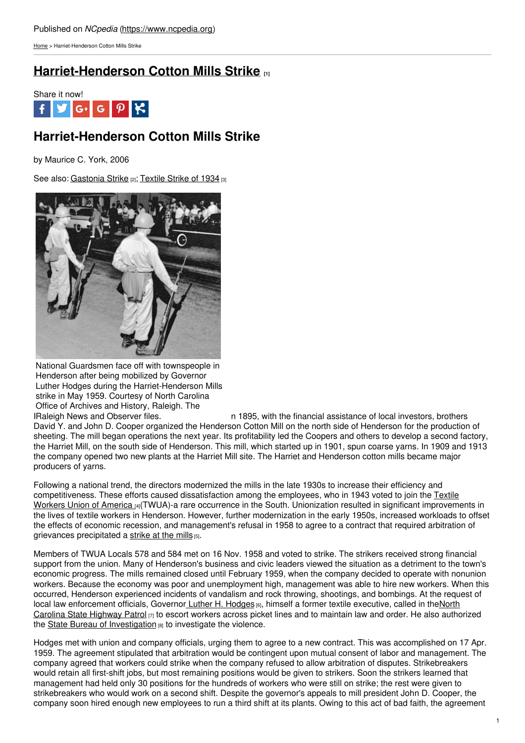[Home](https://www.ncpedia.org/) > Harriet-Henderson Cotton Mills Strike

## **[Harriet-Henderson](https://www.ncpedia.org/harriet-henderson-cotton-mills-stri) Cotton Mills Strike [1]**



# **Harriet-Henderson Cotton Mills Strike**

by Maurice C. York, 2006

See also: [Gastonia](https://www.ncpedia.org/gastonia-strike) Strike [2]; [Textile](https://www.ncpedia.org/textiles/strike-1934) Strike of 1934 [3]



National Guardsmen face off with townspeople in Henderson after being mobilized by Governor Luther Hodges during the Harriet-Henderson Mills strike in May 1959. Courtesy of North Carolina Office of Archives and History, Raleigh. The

IRaleigh News and Observer files. n 1895, with the financial assistance of local investors, brothers David Y. and John D. Cooper organized the Henderson Cotton Mill on the north side of Henderson for the production of sheeting. The mill began operations the next year. Its profitability led the Coopers and others to develop a second factory, the Harriet Mill, on the south side of Henderson. This mill, which started up in 1901, spun coarse yarns. In 1909 and 1913 the company opened two new plants at the Harriet Mill site. The Harriet and Henderson cotton mills became major producers of yarns.

Following a national trend, the directors modernized the mills in the late 1930s to increase their efficiency and [competitiveness.](http://www.lib.unc.edu/mss/inv/t/Textile_Workers_Union_of_America.South_Region.html) These efforts caused dissatisfaction among the employees, who in 1943 voted to join the Textile Workers Union of America [4](TWUA)-a rare occurrence in the South. Unionization resulted in significant improvements in the lives of textile workers in Henderson. However, further modernization in the early 1950s, increased workloads to offset the effects of economic recession, and management's refusal in 1958 to agree to a contract that required arbitration of grievances precipitated a [strike](https://www.ncdcr.gov/about/history/division-historical-resources/nc-highway-historical-marker-program/Markers.aspx?ct=ddl&sp=search&k=Markers&sv=G-124 - HARRIET-HENDERSON STRIKE) at the mills [5].

Members of TWUA Locals 578 and 584 met on 16 Nov. 1958 and voted to strike. The strikers received strong financial support from the union. Many of Henderson's business and civic leaders viewed the situation as a detriment to the town's economic progress. The mills remained closed until February 1959, when the company decided to operate with nonunion workers. Because the economy was poor and unemployment high, management was able to hire new workers. When this occurred, Henderson experienced incidents of vandalism and rock throwing, shootings, and bombings. At the request of local law [enforcement](https://www.ncpedia.org/highway-patrol) officials, Governor Luther H. [Hodges](https://www.ncpedia.org/hodges-luther-hartwell-research) [6], himself a former textile executive, called in theNorth Carolina State Highway Patrol  $_{[7]}$  to escort workers across picket lines and to maintain law and order. He also authorized the State Bureau of [Investigation](https://www.ncpedia.org/state-bureau-investigation) [8] to investigate the violence.

Hodges met with union and company officials, urging them to agree to a new contract. This was accomplished on 17 Apr. 1959. The agreement stipulated that arbitration would be contingent upon mutual consent of labor and management. The company agreed that workers could strike when the company refused to allow arbitration of disputes. Strikebreakers would retain all first-shift jobs, but most remaining positions would be given to strikers. Soon the strikers learned that management had held only 30 positions for the hundreds of workers who were still on strike; the rest were given to strikebreakers who would work on a second shift. Despite the governor's appeals to mill president John D. Cooper, the company soon hired enough new employees to run a third shift at its plants. Owing to this act of bad faith, the agreement